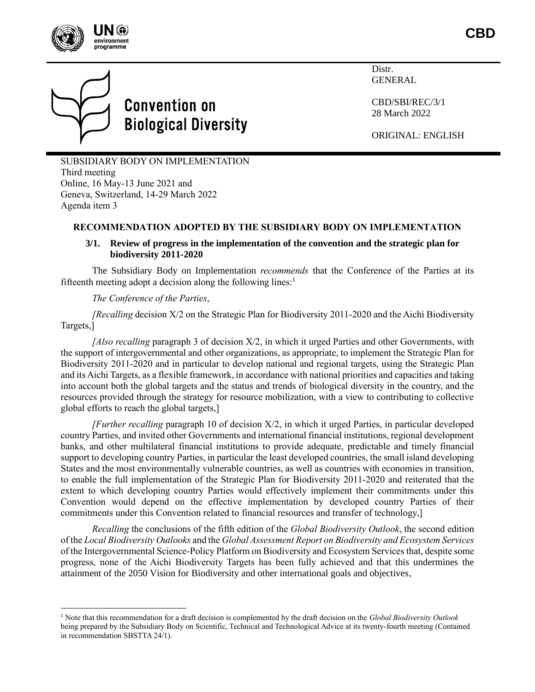



# **Convention on Biological Diversity**

Distr. GENERAL

CBD/SBI/REC/3/1 28 March 2022

ORIGINAL: ENGLISH

SUBSIDIARY BODY ON IMPLEMENTATION Third meeting Online, 16 May-13 June 2021 and Geneva, Switzerland, 14-29 March 2022 Agenda item 3

## **RECOMMENDATION ADOPTED BY THE SUBSIDIARY BODY ON IMPLEMENTATION**

### **3/1. Review of progress in the implementation of the convention and the strategic plan for biodiversity 2011-2020**

The Subsidiary Body on Implementation *recommends* that the Conference of the Parties at its fifteenth meeting adopt a decision along the following lines: $<sup>1</sup>$ </sup>

*The Conference of the Parties*,

*[Recalling* decision X/2 on the Strategic Plan for Biodiversity 2011-2020 and the Aichi Biodiversity Targets,]

*[Also recalling* paragraph 3 of decision X/2, in which it urged Parties and other Governments, with the support of intergovernmental and other organizations, as appropriate, to implement the Strategic Plan for Biodiversity 2011-2020 and in particular to develop national and regional targets, using the Strategic Plan and its Aichi Targets, as a flexible framework, in accordance with national priorities and capacities and taking into account both the global targets and the status and trends of biological diversity in the country, and the resources provided through the strategy for resource mobilization, with a view to contributing to collective global efforts to reach the global targets,]

*[Further recalling* paragraph 10 of decision X/2, in which it urged Parties, in particular developed country Parties, and invited other Governments and international financial institutions, regional development banks, and other multilateral financial institutions to provide adequate, predictable and timely financial support to developing country Parties, in particular the least developed countries, the small island developing States and the most environmentally vulnerable countries, as well as countries with economies in transition, to enable the full implementation of the Strategic Plan for Biodiversity 2011-2020 and reiterated that the extent to which developing country Parties would effectively implement their commitments under this Convention would depend on the effective implementation by developed country Parties of their commitments under this Convention related to financial resources and transfer of technology,]

*Recalling* the conclusions of the fifth edition of the *Global Biodiversity Outlook*, the second edition of the *Local Biodiversity Outlooks* and the *Global Assessment Report on Biodiversity and Ecosystem Services* of the Intergovernmental Science-Policy Platform on Biodiversity and Ecosystem Services that, despite some progress, none of the Aichi Biodiversity Targets has been fully achieved and that this undermines the attainment of the 2050 Vision for Biodiversity and other international goals and objectives,

<sup>1</sup> Note that this recommendation for a draft decision is complemented by the draft decision on the *Global Biodiversity Outlook* being prepared by the Subsidiary Body on Scientific, Technical and Technological Advice at its twenty-fourth meeting (Contained in recommendation SBSTTA 24/1).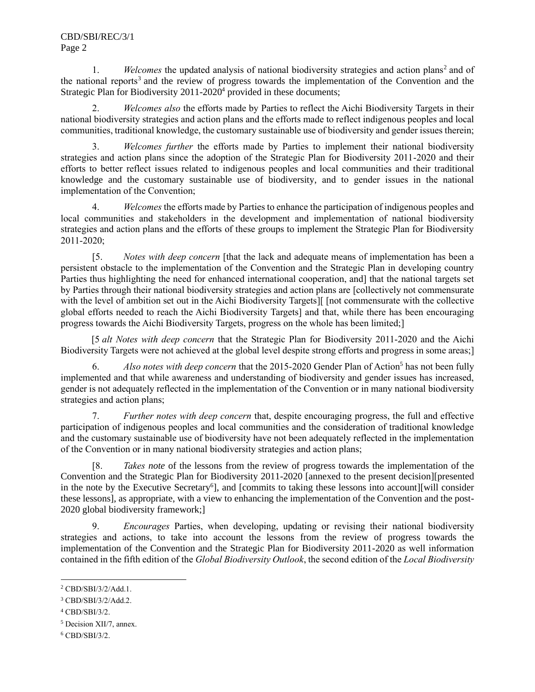1. Welcomes the updated analysis of national biodiversity strategies and action plans<sup>2</sup> and of the national reports<sup>3</sup> and the review of progress towards the implementation of the Convention and the Strategic Plan for Biodiversity  $2011-2020<sup>4</sup>$  provided in these documents;

2. *Welcomes also* the efforts made by Parties to reflect the Aichi Biodiversity Targets in their national biodiversity strategies and action plans and the efforts made to reflect indigenous peoples and local communities, traditional knowledge, the customary sustainable use of biodiversity and gender issues therein;

3. *Welcomes further* the efforts made by Parties to implement their national biodiversity strategies and action plans since the adoption of the Strategic Plan for Biodiversity 2011-2020 and their efforts to better reflect issues related to indigenous peoples and local communities and their traditional knowledge and the customary sustainable use of biodiversity, and to gender issues in the national implementation of the Convention;

4. *Welcomes* the efforts made by Parties to enhance the participation of indigenous peoples and local communities and stakeholders in the development and implementation of national biodiversity strategies and action plans and the efforts of these groups to implement the Strategic Plan for Biodiversity 2011-2020;

[5. *Notes with deep concern* [that the lack and adequate means of implementation has been a persistent obstacle to the implementation of the Convention and the Strategic Plan in developing country Parties thus highlighting the need for enhanced international cooperation, and] that the national targets set by Parties through their national biodiversity strategies and action plans are [collectively not commensurate with the level of ambition set out in the Aichi Biodiversity Targets][ [not commensurate with the collective global efforts needed to reach the Aichi Biodiversity Targets] and that, while there has been encouraging progress towards the Aichi Biodiversity Targets, progress on the whole has been limited;]

[5 *alt Notes with deep concern* that the Strategic Plan for Biodiversity 2011-2020 and the Aichi Biodiversity Targets were not achieved at the global level despite strong efforts and progress in some areas;]

6. *Also notes with deep concern* that the 2015-2020 Gender Plan of Action<sup>5</sup> has not been fully implemented and that while awareness and understanding of biodiversity and gender issues has increased, gender is not adequately reflected in the implementation of the Convention or in many national biodiversity strategies and action plans;

7. *Further notes with deep concern* that, despite encouraging progress, the full and effective participation of indigenous peoples and local communities and the consideration of traditional knowledge and the customary sustainable use of biodiversity have not been adequately reflected in the implementation of the Convention or in many national biodiversity strategies and action plans;

[8. *Takes note* of the lessons from the review of progress towards the implementation of the Convention and the Strategic Plan for Biodiversity 2011-2020 [annexed to the present decision][presented in the note by the Executive Secretary<sup>6</sup>], and [commits to taking these lessons into account][will consider these lessons], as appropriate, with a view to enhancing the implementation of the Convention and the post-2020 global biodiversity framework;]

9. *Encourages* Parties, when developing, updating or revising their national biodiversity strategies and actions, to take into account the lessons from the review of progress towards the implementation of the Convention and the Strategic Plan for Biodiversity 2011-2020 as well information contained in the fifth edition of the *Global Biodiversity Outlook*, the second edition of the *Local Biodiversity* 

<sup>2</sup> CBD/SBI/3/2/Add.1.

<sup>3</sup> CBD/SBI/3/2/Add.2.

<sup>4</sup> CBD/SBI/3/2.

<sup>5</sup> Decision XII/7, annex.

 $6$  CBD/SBI/3/2.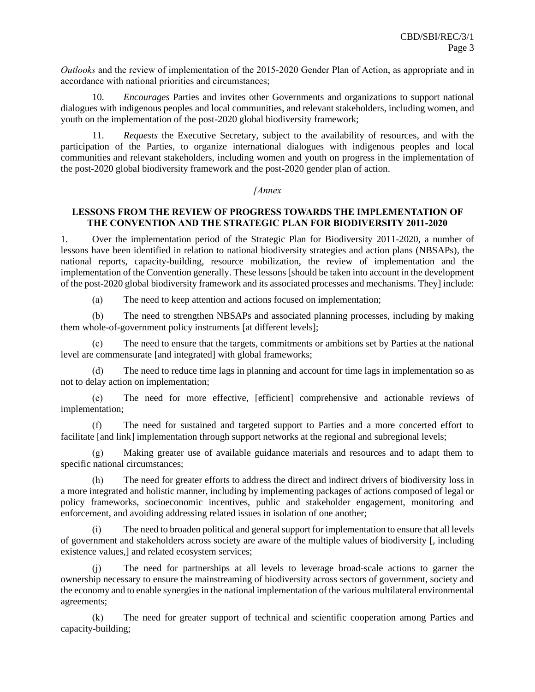*Outlooks* and the review of implementation of the 2015-2020 Gender Plan of Action, as appropriate and in accordance with national priorities and circumstances;

10. *Encourages* Parties and invites other Governments and organizations to support national dialogues with indigenous peoples and local communities, and relevant stakeholders, including women, and youth on the implementation of the post-2020 global biodiversity framework;

11. *Requests* the Executive Secretary, subject to the availability of resources, and with the participation of the Parties, to organize international dialogues with indigenous peoples and local communities and relevant stakeholders, including women and youth on progress in the implementation of the post-2020 global biodiversity framework and the post-2020 gender plan of action.

#### *[Annex*

#### **LESSONS FROM THE REVIEW OF PROGRESS TOWARDS THE IMPLEMENTATION OF THE CONVENTION AND THE STRATEGIC PLAN FOR BIODIVERSITY 2011-2020**

1. Over the implementation period of the Strategic Plan for Biodiversity 2011-2020, a number of lessons have been identified in relation to national biodiversity strategies and action plans (NBSAPs), the national reports, capacity-building, resource mobilization, the review of implementation and the implementation of the Convention generally. These lessons [should be taken into account in the development of the post-2020 global biodiversity framework and its associated processes and mechanisms. They] include:

(a) The need to keep attention and actions focused on implementation;

(b) The need to strengthen NBSAPs and associated planning processes, including by making them whole-of-government policy instruments [at different levels];

(c) The need to ensure that the targets, commitments or ambitions set by Parties at the national level are commensurate [and integrated] with global frameworks;

(d) The need to reduce time lags in planning and account for time lags in implementation so as not to delay action on implementation;

(e) The need for more effective, [efficient] comprehensive and actionable reviews of implementation;

(f) The need for sustained and targeted support to Parties and a more concerted effort to facilitate [and link] implementation through support networks at the regional and subregional levels;

(g) Making greater use of available guidance materials and resources and to adapt them to specific national circumstances;

(h) The need for greater efforts to address the direct and indirect drivers of biodiversity loss in a more integrated and holistic manner, including by implementing packages of actions composed of legal or policy frameworks, socioeconomic incentives, public and stakeholder engagement, monitoring and enforcement, and avoiding addressing related issues in isolation of one another;

The need to broaden political and general support for implementation to ensure that all levels of government and stakeholders across society are aware of the multiple values of biodiversity [, including existence values,] and related ecosystem services;

(j) The need for partnerships at all levels to leverage broad-scale actions to garner the ownership necessary to ensure the mainstreaming of biodiversity across sectors of government, society and the economy and to enable synergies in the national implementation of the various multilateral environmental agreements;

(k) The need for greater support of technical and scientific cooperation among Parties and capacity-building;